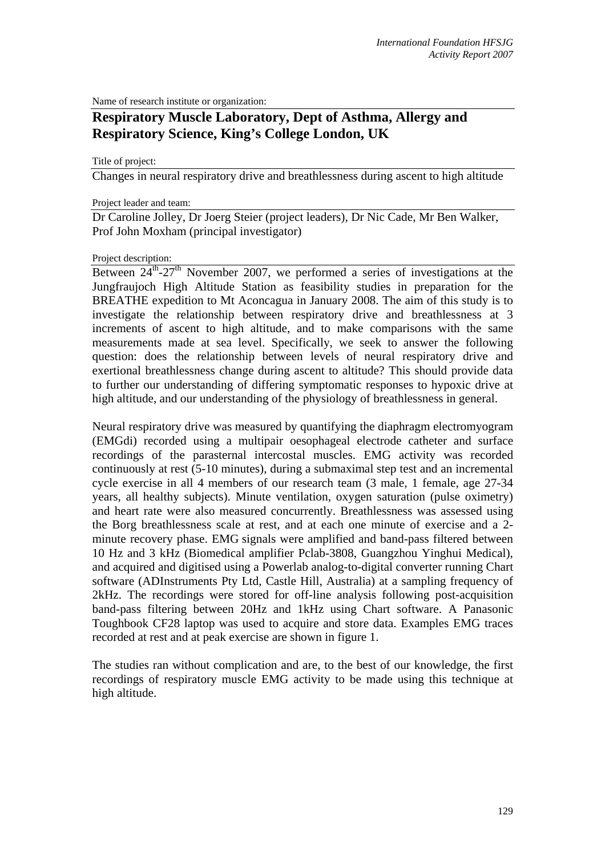Name of research institute or organization:

# **Respiratory Muscle Laboratory, Dept of Asthma, Allergy and Respiratory Science, King's College London, UK**

Title of project:

Changes in neural respiratory drive and breathlessness during ascent to high altitude

#### Project leader and team:

Dr Caroline Jolley, Dr Joerg Steier (project leaders), Dr Nic Cade, Mr Ben Walker, Prof John Moxham (principal investigator)

#### Project description:

Between  $24^{\text{th}}-27^{\text{th}}$  November 2007, we performed a series of investigations at the Jungfraujoch High Altitude Station as feasibility studies in preparation for the BREATHE expedition to Mt Aconcagua in January 2008. The aim of this study is to investigate the relationship between respiratory drive and breathlessness at 3 increments of ascent to high altitude, and to make comparisons with the same measurements made at sea level. Specifically, we seek to answer the following question: does the relationship between levels of neural respiratory drive and exertional breathlessness change during ascent to altitude? This should provide data to further our understanding of differing symptomatic responses to hypoxic drive at high altitude, and our understanding of the physiology of breathlessness in general.

Neural respiratory drive was measured by quantifying the diaphragm electromyogram (EMGdi) recorded using a multipair oesophageal electrode catheter and surface recordings of the parasternal intercostal muscles. EMG activity was recorded continuously at rest (5-10 minutes), during a submaximal step test and an incremental cycle exercise in all 4 members of our research team (3 male, 1 female, age 27-34 years, all healthy subjects). Minute ventilation, oxygen saturation (pulse oximetry) and heart rate were also measured concurrently. Breathlessness was assessed using the Borg breathlessness scale at rest, and at each one minute of exercise and a 2 minute recovery phase. EMG signals were amplified and band-pass filtered between 10 Hz and 3 kHz (Biomedical amplifier Pclab-3808, Guangzhou Yinghui Medical), and acquired and digitised using a Powerlab analog-to-digital converter running Chart software (ADInstruments Pty Ltd, Castle Hill, Australia) at a sampling frequency of 2kHz. The recordings were stored for off-line analysis following post-acquisition band-pass filtering between 20Hz and 1kHz using Chart software. A Panasonic Toughbook CF28 laptop was used to acquire and store data. Examples EMG traces recorded at rest and at peak exercise are shown in figure 1.

The studies ran without complication and are, to the best of our knowledge, the first recordings of respiratory muscle EMG activity to be made using this technique at high altitude.